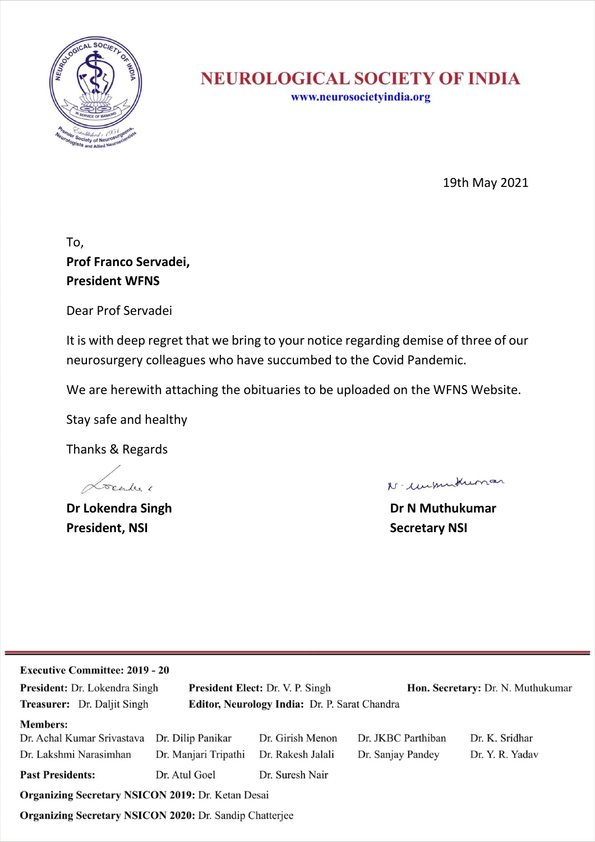

# **NEUROLOGICAL SOCIETY OF INDIA**

www.neurosocietyindia.org

19th May 2021

## To, **Prof Franco Servadei, President WFNS**

Dear Prof Servadei

It is with deep regret that we bring to your notice regarding demise of three of our neurosurgery colleagues who have succumbed to the Covid Pandemic.

We are herewith attaching the obituaries to be uploaded on the WFNS Website.

Stay safe and healthy

Thanks & Regards

Locendes 6

**President, NSI President, NSI** 

N- unmittunar

**Dr Lokendra Singh Dr N Muthukumar**

| <b>Executive Committee: 2019 - 20</b>                                               |                      |                                         |                                   |                 |  |
|-------------------------------------------------------------------------------------|----------------------|-----------------------------------------|-----------------------------------|-----------------|--|
| President: Dr. Lokendra Singh                                                       |                      | <b>President Elect: Dr. V. P. Singh</b> | Hon. Secretary: Dr. N. Muthukumar |                 |  |
| <b>Treasurer:</b> Dr. Daljit Singh<br>Editor, Neurology India: Dr. P. Sarat Chandra |                      |                                         |                                   |                 |  |
| <b>Members:</b>                                                                     |                      |                                         |                                   |                 |  |
| Dr. Achal Kumar Srivastava                                                          | Dr. Dilip Panikar    | Dr. Girish Menon                        | Dr. JKBC Parthiban                | Dr. K. Sridhar  |  |
| Dr. Lakshmi Narasimhan                                                              | Dr. Manjari Tripathi | Dr. Rakesh Jalali                       | Dr. Sanjay Pandey                 | Dr. Y. R. Yadav |  |
| <b>Past Presidents:</b>                                                             | Dr. Atul Goel        | Dr. Suresh Nair                         |                                   |                 |  |
| Organizing Secretary NSICON 2019: Dr. Ketan Desai                                   |                      |                                         |                                   |                 |  |
| <b>Organizing Secretary NSICON 2020: Dr. Sandip Chatterjee</b>                      |                      |                                         |                                   |                 |  |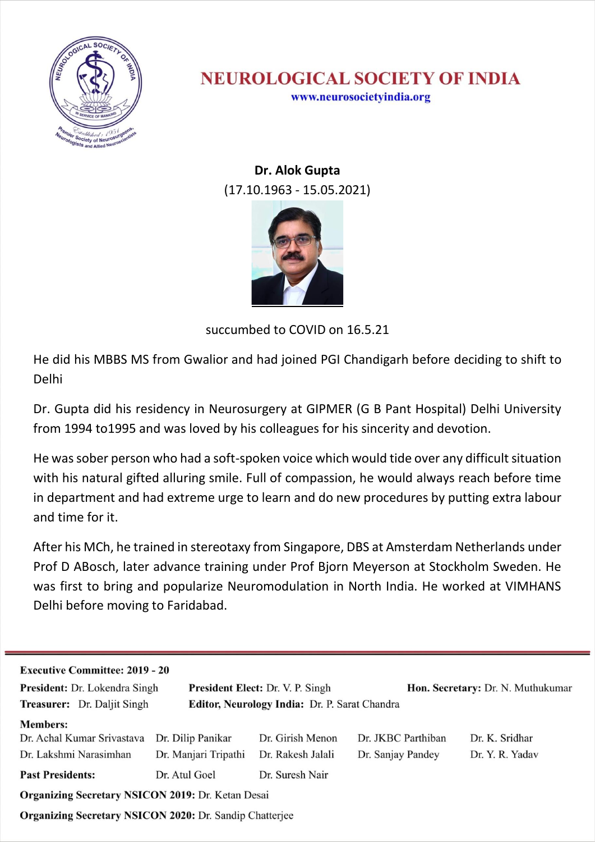

#### **NEUROLOGICAL SOCIETY OF INDIA** www.neurosocietyindia.org

**Dr. Alok Gupta** (17.10.1963 - 15.05.2021)



succumbed to COVID on 16.5.21

He did his MBBS MS from Gwalior and had joined PGI Chandigarh before deciding to shift to Delhi

Dr. Gupta did his residency in Neurosurgery at GIPMER (G B Pant Hospital) Delhi University from 1994 to1995 and was loved by his colleagues for his sincerity and devotion.

He was sober person who had a soft-spoken voice which would tide over any difficult situation with his natural gifted alluring smile. Full of compassion, he would always reach before time in department and had extreme urge to learn and do new procedures by putting extra labour and time for it.

After his MCh, he trained in stereotaxy from Singapore, DBS at Amsterdam Netherlands under Prof D ABosch, later advance training under Prof Bjorn Meyerson at Stockholm Sweden. He was first to bring and popularize Neuromodulation in North India. He worked at VIMHANS Delhi before moving to Faridabad.

| <b>Executive Committee: 2019 - 20</b>                                               |                      |                                         |                                   |                 |  |
|-------------------------------------------------------------------------------------|----------------------|-----------------------------------------|-----------------------------------|-----------------|--|
| <b>President:</b> Dr. Lokendra Singh                                                |                      | <b>President Elect: Dr. V. P. Singh</b> | Hon. Secretary: Dr. N. Muthukumar |                 |  |
| Editor, Neurology India: Dr. P. Sarat Chandra<br><b>Treasurer:</b> Dr. Daljit Singh |                      |                                         |                                   |                 |  |
| <b>Members:</b>                                                                     |                      |                                         |                                   |                 |  |
| Dr. Achal Kumar Srivastava                                                          | Dr. Dilip Panikar    | Dr. Girish Menon                        | Dr. JKBC Parthiban                | Dr. K. Sridhar  |  |
| Dr. Lakshmi Narasimhan                                                              | Dr. Manjari Tripathi | Dr. Rakesh Jalali                       | Dr. Sanjay Pandey                 | Dr. Y. R. Yadav |  |
| <b>Past Presidents:</b>                                                             | Dr. Atul Goel        | Dr. Suresh Nair                         |                                   |                 |  |
| Organizing Secretary NSICON 2019: Dr. Ketan Desai                                   |                      |                                         |                                   |                 |  |
| Organizing Secretary NSICON 2020: Dr. Sandip Chatterjee                             |                      |                                         |                                   |                 |  |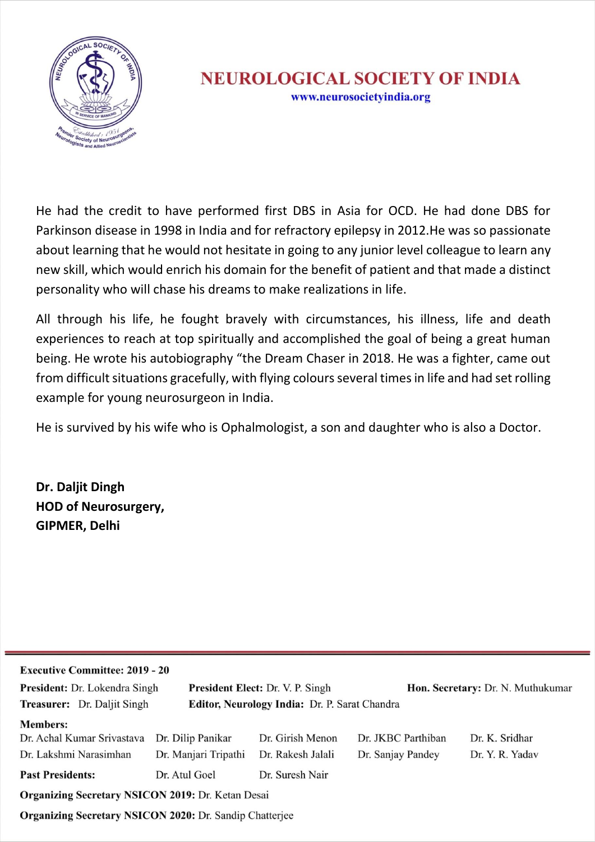

He had the credit to have performed first DBS in Asia for OCD. He had done DBS for Parkinson disease in 1998 in India and for refractory epilepsy in 2012.He was so passionate about learning that he would not hesitate in going to any junior level colleague to learn any new skill, which would enrich his domain for the benefit of patient and that made a distinct personality who will chase his dreams to make realizations in life.

All through his life, he fought bravely with circumstances, his illness, life and death experiences to reach at top spiritually and accomplished the goal of being a great human being. He wrote his autobiography "the Dream Chaser in 2018. He was a fighter, came out from difficult situations gracefully, with flying colours several times in life and had set rolling example for young neurosurgeon in India.

He is survived by his wife who is Ophalmologist, a son and daughter who is also a Doctor.

**Dr. Daljit Dingh HOD of Neurosurgery, GIPMER, Delhi**

| <b>Executive Committee: 2019 - 20</b>                                               |                      |                                         |                                   |                 |
|-------------------------------------------------------------------------------------|----------------------|-----------------------------------------|-----------------------------------|-----------------|
| President: Dr. Lokendra Singh                                                       |                      | <b>President Elect: Dr. V. P. Singh</b> | Hon. Secretary: Dr. N. Muthukumar |                 |
| <b>Treasurer:</b> Dr. Daljit Singh<br>Editor, Neurology India: Dr. P. Sarat Chandra |                      |                                         |                                   |                 |
| <b>Members:</b>                                                                     |                      |                                         |                                   |                 |
| Dr. Achal Kumar Srivastava                                                          | Dr. Dilip Panikar    | Dr. Girish Menon                        | Dr. JKBC Parthiban                | Dr. K. Sridhar  |
| Dr. Lakshmi Narasimhan                                                              | Dr. Manjari Tripathi | Dr. Rakesh Jalali                       | Dr. Sanjay Pandey                 | Dr. Y. R. Yadav |
| <b>Past Presidents:</b>                                                             | Dr. Atul Goel        | Dr. Suresh Nair                         |                                   |                 |
| Organizing Secretary NSICON 2019: Dr. Ketan Desai                                   |                      |                                         |                                   |                 |
| <b>Organizing Secretary NSICON 2020: Dr. Sandin Chatteriee</b>                      |                      |                                         |                                   |                 |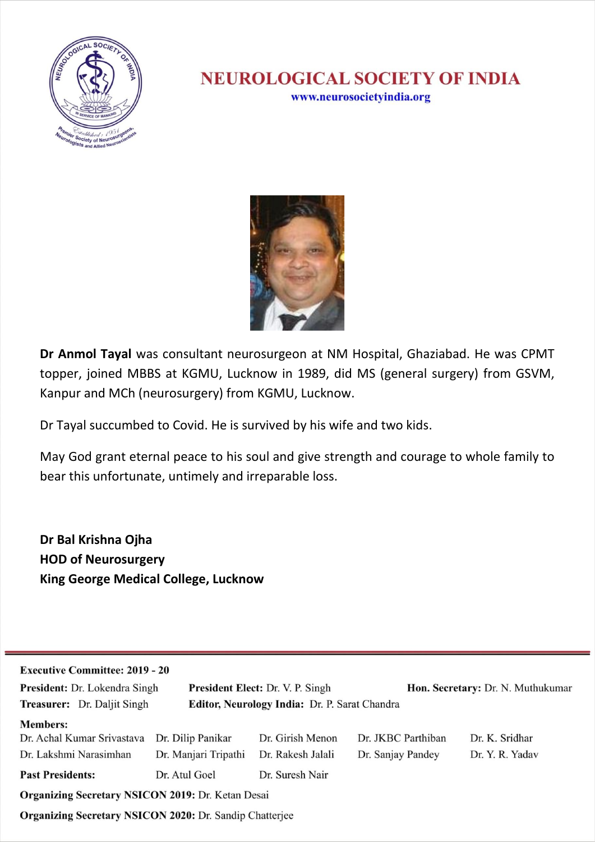

#### **NEUROLOGICAL SOCIETY OF INDIA** www.neurosocietyindia.org



**Dr Anmol Tayal** was consultant neurosurgeon at NM Hospital, Ghaziabad. He was CPMT topper, joined MBBS at KGMU, Lucknow in 1989, did MS (general surgery) from GSVM, Kanpur and MCh (neurosurgery) from KGMU, Lucknow.

Dr Tayal succumbed to Covid. He is survived by his wife and two kids.

May God grant eternal peace to his soul and give strength and courage to whole family to bear this unfortunate, untimely and irreparable loss.

**Dr Bal Krishna Ojha HOD of Neurosurgery King George Medical College, Lucknow**

| <b>Executive Committee: 2019 - 20</b>                                        |                      |                                         |                                   |                 |
|------------------------------------------------------------------------------|----------------------|-----------------------------------------|-----------------------------------|-----------------|
| <b>President:</b> Dr. Lokendra Singh                                         |                      | <b>President Elect: Dr. V. P. Singh</b> | Hon. Secretary: Dr. N. Muthukumar |                 |
| Treasurer: Dr. Daljit Singh<br>Editor, Neurology India: Dr. P. Sarat Chandra |                      |                                         |                                   |                 |
| <b>Members:</b>                                                              |                      |                                         |                                   |                 |
| Dr. Achal Kumar Srivastava                                                   | Dr. Dilip Panikar    | Dr. Girish Menon                        | Dr. JKBC Parthiban                | Dr. K. Sridhar  |
| Dr. Lakshmi Narasimhan                                                       | Dr. Manjari Tripathi | Dr. Rakesh Jalali                       | Dr. Sanjay Pandey                 | Dr. Y. R. Yadav |
| <b>Past Presidents:</b>                                                      | Dr. Atul Goel        | Dr. Suresh Nair                         |                                   |                 |
| Organizing Secretary NSICON 2019: Dr. Ketan Desai                            |                      |                                         |                                   |                 |
| <b>Organizing Secretary NSICON 2020: Dr. Sandip Chatterjee</b>               |                      |                                         |                                   |                 |